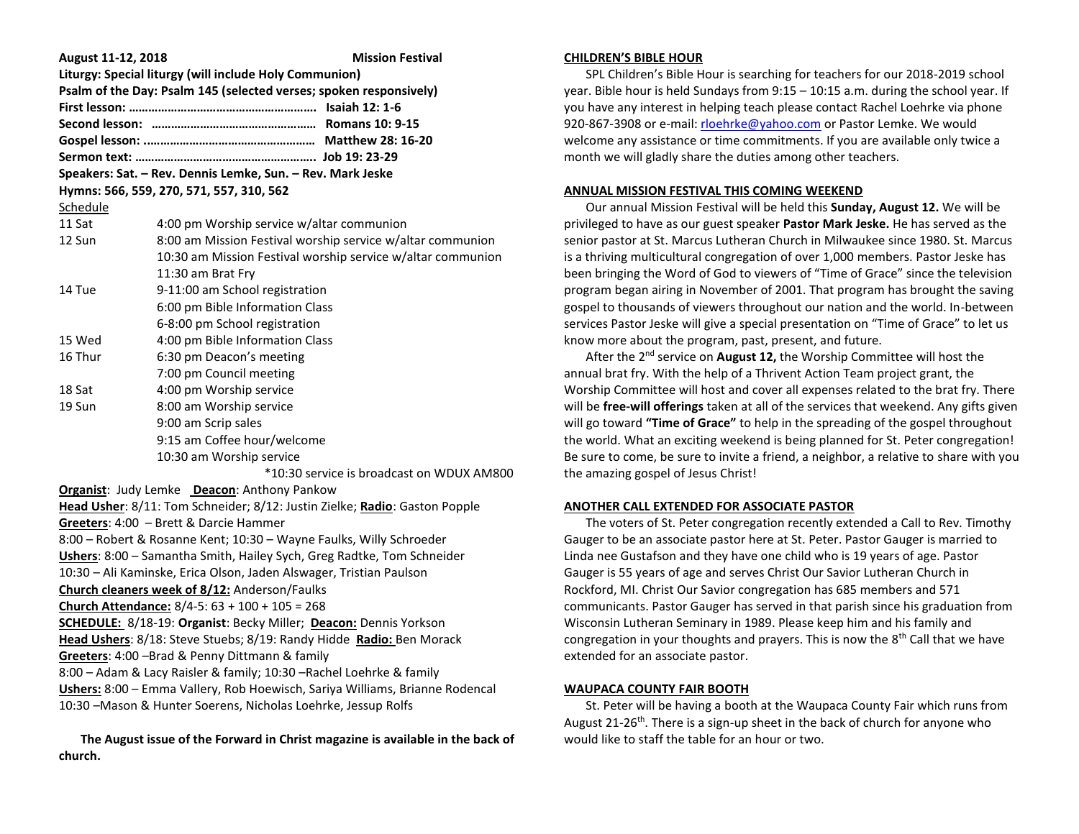| August 11-12, 2018                                                           | <b>Mission Festival</b>                                                    |  |
|------------------------------------------------------------------------------|----------------------------------------------------------------------------|--|
| Liturgy: Special liturgy (will include Holy Communion)                       |                                                                            |  |
| Psalm of the Day: Psalm 145 (selected verses; spoken responsively)           |                                                                            |  |
|                                                                              |                                                                            |  |
|                                                                              |                                                                            |  |
|                                                                              |                                                                            |  |
|                                                                              |                                                                            |  |
| Speakers: Sat. - Rev. Dennis Lemke, Sun. - Rev. Mark Jeske                   |                                                                            |  |
| Hymns: 566, 559, 270, 571, 557, 310, 562                                     |                                                                            |  |
| Schedule                                                                     |                                                                            |  |
| 11 Sat                                                                       | 4:00 pm Worship service w/altar communion                                  |  |
| 12 Sun                                                                       | 8:00 am Mission Festival worship service w/altar communion                 |  |
|                                                                              | 10:30 am Mission Festival worship service w/altar communion                |  |
|                                                                              | 11:30 am Brat Fry                                                          |  |
| 14 Tue                                                                       | 9-11:00 am School registration                                             |  |
|                                                                              | 6:00 pm Bible Information Class                                            |  |
|                                                                              | 6-8:00 pm School registration                                              |  |
| 15 Wed                                                                       | 4:00 pm Bible Information Class                                            |  |
| 16 Thur                                                                      | 6:30 pm Deacon's meeting                                                   |  |
|                                                                              | 7:00 pm Council meeting                                                    |  |
| 18 Sat                                                                       | 4:00 pm Worship service                                                    |  |
| 19 Sun                                                                       | 8:00 am Worship service                                                    |  |
|                                                                              | 9:00 am Scrip sales                                                        |  |
|                                                                              | 9:15 am Coffee hour/welcome                                                |  |
|                                                                              | 10:30 am Worship service                                                   |  |
|                                                                              | *10:30 service is broadcast on WDUX AM800                                  |  |
| Organist: Judy Lemke Deacon: Anthony Pankow                                  |                                                                            |  |
|                                                                              | Head Usher: 8/11: Tom Schneider; 8/12: Justin Zielke; Radio: Gaston Popple |  |
|                                                                              | Greeters: 4:00 - Brett & Darcie Hammer                                     |  |
| 8:00 - Robert & Rosanne Kent; 10:30 - Wayne Faulks, Willy Schroeder          |                                                                            |  |
| Ushers: 8:00 - Samantha Smith, Hailey Sych, Greg Radtke, Tom Schneider       |                                                                            |  |
| 10:30 - Ali Kaminske, Erica Olson, Jaden Alswager, Tristian Paulson          |                                                                            |  |
| Church cleaners week of 8/12: Anderson/Faulks                                |                                                                            |  |
| Church Attendance: $8/4 - 5$ : $63 + 100 + 105 = 268$                        |                                                                            |  |
| <b>SCHEDULE: 8/18-19: Organist: Becky Miller; Deacon: Dennis Yorkson</b>     |                                                                            |  |
| Head Ushers: 8/18: Steve Stuebs; 8/19: Randy Hidde Radio: Ben Morack         |                                                                            |  |
| Greeters: 4:00 -Brad & Penny Dittmann & family                               |                                                                            |  |
| 8:00 - Adam & Lacy Raisler & family; 10:30 - Rachel Loehrke & family         |                                                                            |  |
| Ushers: 8:00 - Emma Vallery, Rob Hoewisch, Sariya Williams, Brianne Rodencal |                                                                            |  |
| 10:30 -Mason & Hunter Soerens, Nicholas Loehrke, Jessup Rolfs                |                                                                            |  |

 **The August issue of the Forward in Christ magazine is available in the back of church.**

### **CHILDREN'S BIBLE HOUR**

 SPL Children's Bible Hour is searching for teachers for our 2018-2019 school year. Bible hour is held Sundays from 9:15 – 10:15 a.m. during the school year. If you have any interest in helping teach please contact Rachel Loehrke via phone 920-867-3908 or e-mail[: rloehrke@yahoo.com](mailto:rloehrke@yahoo.com) or Pastor Lemke. We would welcome any assistance or time commitments. If you are available only twice a month we will gladly share the duties among other teachers.

### **ANNUAL MISSION FESTIVAL THIS COMING WEEKEND**

 Our annual Mission Festival will be held this **Sunday, August 12.** We will be privileged to have as our guest speaker **Pastor Mark Jeske.** He has served as the senior pastor at St. Marcus Lutheran Church in Milwaukee since 1980. St. Marcus is a thriving multicultural congregation of over 1,000 members. Pastor Jeske has been bringing the Word of God to viewers of "Time of Grace" since the television program began airing in November of 2001. That program has brought the saving gospel to thousands of viewers throughout our nation and the world. In-between services Pastor Jeske will give a special presentation on "Time of Grace" to let us know more about the program, past, present, and future.

 After the 2nd service on **August 12,** the Worship Committee will host the annual brat fry. With the help of a Thrivent Action Team project grant, the Worship Committee will host and cover all expenses related to the brat fry. There will be **free-will offerings** taken at all of the services that weekend. Any gifts given will go toward **"Time of Grace"** to help in the spreading of the gospel throughout the world. What an exciting weekend is being planned for St. Peter congregation! Be sure to come, be sure to invite a friend, a neighbor, a relative to share with you the amazing gospel of Jesus Christ!

# **ANOTHER CALL EXTENDED FOR ASSOCIATE PASTOR**

 The voters of St. Peter congregation recently extended a Call to Rev. Timothy Gauger to be an associate pastor here at St. Peter. Pastor Gauger is married to Linda nee Gustafson and they have one child who is 19 years of age. Pastor Gauger is 55 years of age and serves Christ Our Savior Lutheran Church in Rockford, MI. Christ Our Savior congregation has 685 members and 571 communicants. Pastor Gauger has served in that parish since his graduation from Wisconsin Lutheran Seminary in 1989. Please keep him and his family and congregation in your thoughts and prayers. This is now the  $8<sup>th</sup>$  Call that we have extended for an associate pastor.

#### **WAUPACA COUNTY FAIR BOOTH**

 St. Peter will be having a booth at the Waupaca County Fair which runs from August 21-26<sup>th</sup>. There is a sign-up sheet in the back of church for anyone who would like to staff the table for an hour or two.